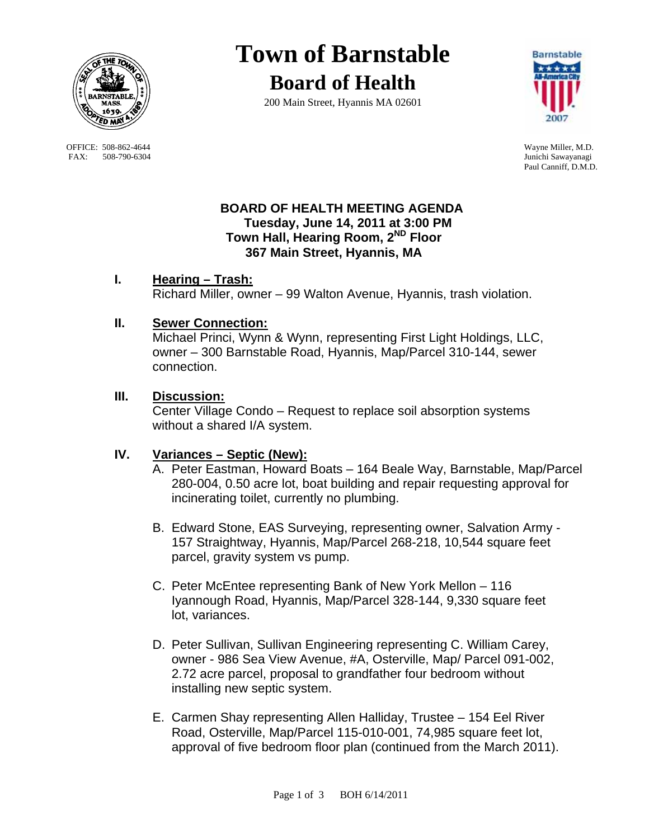

OFFICE: 508-862-4644 Wayne Miller, M.D.<br>
FAX: 508-790-6304 Junichi Sawayanagi FAX: 508-790-6304

# **Town of Barnstable**

**Board of Health**

200 Main Street, Hyannis MA 02601



Paul Canniff, D.M.D.

#### **BOARD OF HEALTH MEETING AGENDA Tuesday, June 14, 2011 at 3:00 PM Town Hall, Hearing Room, 2ND Floor 367 Main Street, Hyannis, MA**

## **I. Hearing – Trash:**

Richard Miller, owner – 99 Walton Avenue, Hyannis, trash violation.

## **II. Sewer Connection:**

 Michael Princi, Wynn & Wynn, representing First Light Holdings, LLC, owner – 300 Barnstable Road, Hyannis, Map/Parcel 310-144, sewer connection.

## **III. Discussion:**

 Center Village Condo – Request to replace soil absorption systems without a shared I/A system.

## **IV. Variances – Septic (New):**

- A. Peter Eastman, Howard Boats 164 Beale Way, Barnstable, Map/Parcel 280-004, 0.50 acre lot, boat building and repair requesting approval for incinerating toilet, currently no plumbing.
- B. Edward Stone, EAS Surveying, representing owner, Salvation Army 157 Straightway, Hyannis, Map/Parcel 268-218, 10,544 square feet parcel, gravity system vs pump.
- C. Peter McEntee representing Bank of New York Mellon 116 Iyannough Road, Hyannis, Map/Parcel 328-144, 9,330 square feet lot, variances.
- D. Peter Sullivan, Sullivan Engineering representing C. William Carey, owner - 986 Sea View Avenue, #A, Osterville, Map/ Parcel 091-002, 2.72 acre parcel, proposal to grandfather four bedroom without installing new septic system.
- E. Carmen Shay representing Allen Halliday, Trustee 154 Eel River Road, Osterville, Map/Parcel 115-010-001, 74,985 square feet lot, approval of five bedroom floor plan (continued from the March 2011).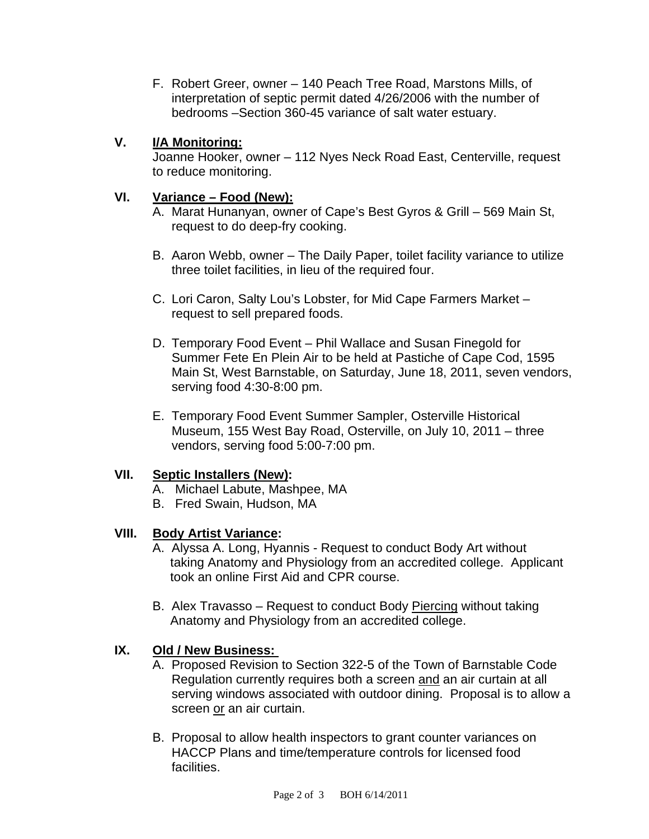F. Robert Greer, owner – 140 Peach Tree Road, Marstons Mills, of interpretation of septic permit dated 4/26/2006 with the number of bedrooms –Section 360-45 variance of salt water estuary.

#### **V. I/A Monitoring:**

 Joanne Hooker, owner – 112 Nyes Neck Road East, Centerville, request to reduce monitoring.

#### **VI. Variance – Food (New):**

A. Marat Hunanyan, owner of Cape's Best Gyros & Grill – 569 Main St, request to do deep-fry cooking.

- B. Aaron Webb, owner The Daily Paper, toilet facility variance to utilize three toilet facilities, in lieu of the required four.
- C. Lori Caron, Salty Lou's Lobster, for Mid Cape Farmers Market request to sell prepared foods.
- D. Temporary Food Event Phil Wallace and Susan Finegold for Summer Fete En Plein Air to be held at Pastiche of Cape Cod, 1595 Main St, West Barnstable, on Saturday, June 18, 2011, seven vendors, serving food 4:30-8:00 pm.
- E. Temporary Food Event Summer Sampler, Osterville Historical Museum, 155 West Bay Road, Osterville, on July 10, 2011 – three vendors, serving food 5:00-7:00 pm.

## **VII. Septic Installers (New):**

- A. Michael Labute, Mashpee, MA
- B. Fred Swain, Hudson, MA

## **VIII. Body Artist Variance:**

- A. Alyssa A. Long, Hyannis Request to conduct Body Art without taking Anatomy and Physiology from an accredited college. Applicant took an online First Aid and CPR course.
- B. Alex Travasso Request to conduct Body Piercing without taking Anatomy and Physiology from an accredited college.

#### **IX. Old / New Business:**

- A. Proposed Revision to Section 322-5 of the Town of Barnstable Code Regulation currently requires both a screen and an air curtain at all serving windows associated with outdoor dining. Proposal is to allow a screen or an air curtain.
- B. Proposal to allow health inspectors to grant counter variances on HACCP Plans and time/temperature controls for licensed food facilities.